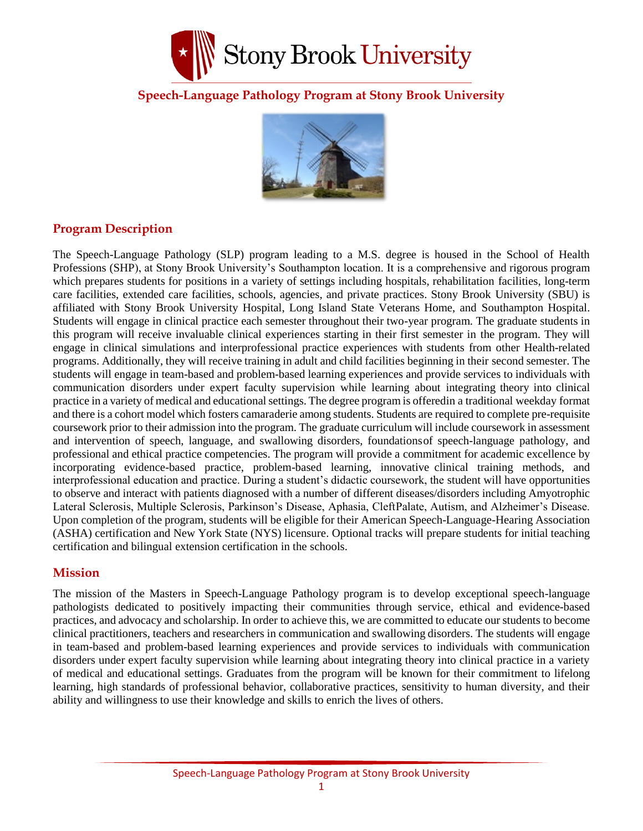

### **Speech-Language Pathology Program at Stony Brook University**



### **Program Description**

The Speech-Language Pathology (SLP) program leading to a M.S. degree is housed in the School of Health Professions (SHP), at Stony Brook University's Southampton location. It is a comprehensive and rigorous program which prepares students for positions in a variety of settings including hospitals, rehabilitation facilities, long-term care facilities, extended care facilities, schools, agencies, and private practices. Stony Brook University (SBU) is affiliated with Stony Brook University Hospital, Long Island State Veterans Home, and Southampton Hospital. Students will engage in clinical practice each semester throughout their two-year program. The graduate students in this program will receive invaluable clinical experiences starting in their first semester in the program. They will engage in clinical simulations and interprofessional practice experiences with students from other Health-related programs. Additionally, they will receive training in adult and child facilities beginning in their second semester. The students will engage in team-based and problem-based learning experiences and provide services to individuals with communication disorders under expert faculty supervision while learning about integrating theory into clinical practice in a variety of medical and educationalsettings. The degree program is offeredin a traditional weekday format and there is a cohort model which fosters camaraderie among students. Students are required to complete pre-requisite coursework prior to their admission into the program. The graduate curriculum will include coursework in assessment and intervention of speech, language, and swallowing disorders, foundationsof speech-language pathology, and professional and ethical practice competencies. The program will provide a commitment for academic excellence by incorporating evidence-based practice, problem-based learning, innovative clinical training methods, and interprofessional education and practice. During a student's didactic coursework, the student will have opportunities to observe and interact with patients diagnosed with a number of different diseases/disorders including Amyotrophic Lateral Sclerosis, Multiple Sclerosis, Parkinson's Disease, Aphasia, CleftPalate, Autism, and Alzheimer's Disease. Upon completion of the program, students will be eligible for their American Speech-Language-Hearing Association (ASHA) certification and New York State (NYS) licensure. Optional tracks will prepare students for initial teaching certification and bilingual extension certification in the schools.

### **Mission**

The mission of the Masters in Speech-Language Pathology program is to develop exceptional speech-language pathologists dedicated to positively impacting their communities through service, ethical and evidence-based practices, and advocacy and scholarship. In order to achieve this, we are committed to educate our students to become clinical practitioners, teachers and researchers in communication and swallowing disorders. The students will engage in team-based and problem-based learning experiences and provide services to individuals with communication disorders under expert faculty supervision while learning about integrating theory into clinical practice in a variety of medical and educational settings. Graduates from the program will be known for their commitment to lifelong learning, high standards of professional behavior, collaborative practices, sensitivity to human diversity, and their ability and willingness to use their knowledge and skills to enrich the lives of others.